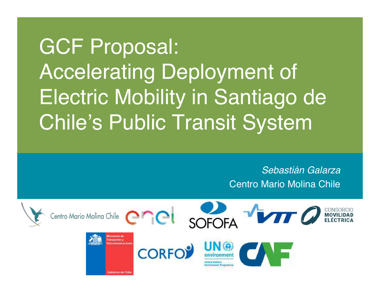# GCF Proposal: Accelerating Deployment of Electric Mobility in Santiago de Chile's Public Transit System

#### *Sebastián Galarza* Centro Mario Molina Chile

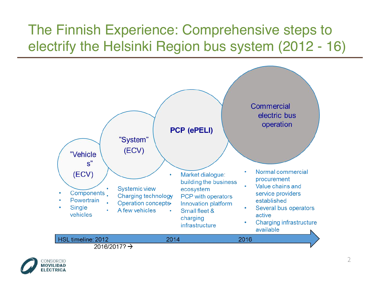### The Finnish Experience: Comprehensive steps to electrify the Helsinki Region bus system (2012 - 16)



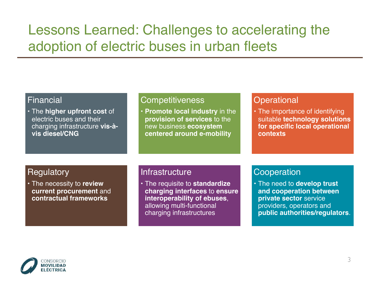#### Lessons Learned: Challenges to accelerating the adoption of electric buses in urban fleets

| <b>Financial</b>                                                                                             | <b>Competitiveness</b>                                                                                                                                  | Operational                                                                                                                                    |
|--------------------------------------------------------------------------------------------------------------|---------------------------------------------------------------------------------------------------------------------------------------------------------|------------------------------------------------------------------------------------------------------------------------------------------------|
| • The higher upfront cost of<br>electric buses and their<br>charging infrastructure vis-à-<br>vis diesel/CNG | . Promote local industry in the<br>provision of services to the<br>new business ecosystem<br>centered around e-mobility                                 | • The importance of identifying<br>suitable technology solutions<br>for specific local operational<br>contexts                                 |
| <b>Regulatory</b>                                                                                            | Infrastructure                                                                                                                                          | Cooperation                                                                                                                                    |
| • The necessity to review<br>current procurement and<br>contractual frameworks                               | • The requisite to standardize<br>charging interfaces to ensure<br>interoperability of ebuses,<br>allowing multi-functional<br>charging infrastructures | . The need to develop trust<br>and cooperation between<br>private sector service<br>providers, operators and<br>public authorities/regulators. |

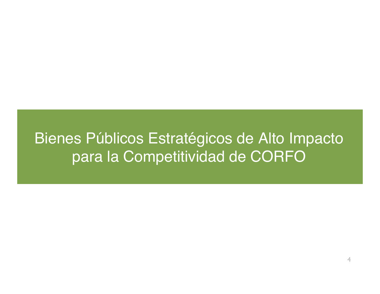### Bienes Públicos Estratégicos de Alto Impacto para la Competitividad de CORFO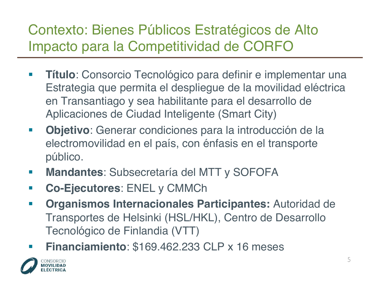### Contexto: Bienes Públicos Estratégicos de Alto Impacto para la Competitividad de CORFO

- § **Título**: Consorcio Tecnológico para definir e implementar una Estrategia que permita el despliegue de la movilidad eléctrica en Transantiago y sea habilitante para el desarrollo de Aplicaciones de Ciudad Inteligente (Smart City)
- § **Objetivo**: Generar condiciones para la introducción de la electromovilidad en el país, con énfasis en el transporte público.
- § **Mandantes**: Subsecretaría del MTT y SOFOFA
- § **Co-Ejecutores**: ENEL y CMMCh
- § **Organismos Internacionales Participantes:** Autoridad de Transportes de Helsinki (HSL/HKL), Centro de Desarrollo Tecnológico de Finlandia (VTT)
- § **Financiamiento**: \$169.462.233 CLP x 16 meses

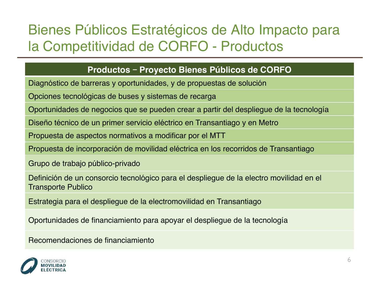### Bienes Públicos Estratégicos de Alto Impacto para la Competitividad de CORFO - Productos

#### **Productos** – **Proyecto Bienes Públicos de CORFO**

Diagnóstico de barreras y oportunidades, y de propuestas de solución

Opciones tecnológicas de buses y sistemas de recarga

Oportunidades de negocios que se pueden crear a partir del despliegue de la tecnología

Diseño técnico de un primer servicio eléctrico en Transantiago y en Metro

Propuesta de aspectos normativos a modificar por el MTT

Propuesta de incorporación de movilidad eléctrica en los recorridos de Transantiago

Grupo de trabajo público-privado

Definición de un consorcio tecnológico para el despliegue de la electro movilidad en el Transporte Publico

Estrategia para el despliegue de la electromovilidad en Transantiago

Oportunidades de financiamiento para apoyar el despliegue de la tecnología

Recomendaciones de financiamiento

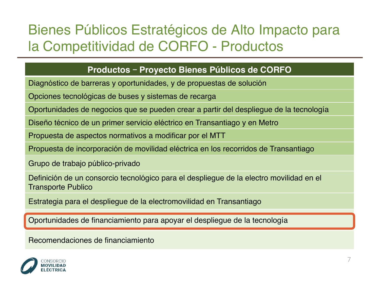### Bienes Públicos Estratégicos de Alto Impacto para la Competitividad de CORFO - Productos

#### **Productos** – **Proyecto Bienes Públicos de CORFO**

Diagnóstico de barreras y oportunidades, y de propuestas de solución

Opciones tecnológicas de buses y sistemas de recarga

Oportunidades de negocios que se pueden crear a partir del despliegue de la tecnología

Diseño técnico de un primer servicio eléctrico en Transantiago y en Metro

Propuesta de aspectos normativos a modificar por el MTT

Propuesta de incorporación de movilidad eléctrica en los recorridos de Transantiago

Grupo de trabajo público-privado

Definición de un consorcio tecnológico para el despliegue de la electro movilidad en el Transporte Publico

Estrategia para el despliegue de la electromovilidad en Transantiago

Oportunidades de financiamiento para apoyar el despliegue de la tecnología

Recomendaciones de financiamiento

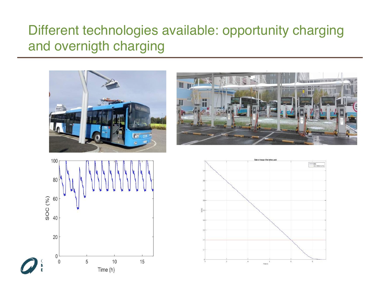#### Different technologies available: opportunity charging and overnigth charging

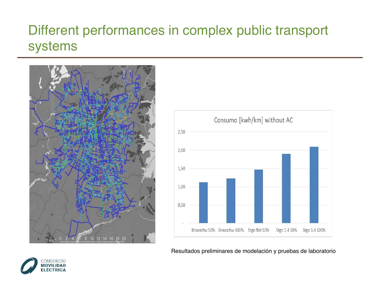#### Different performances in complex public transport systems





Resultados preliminares de modelación y pruebas de laboratorio

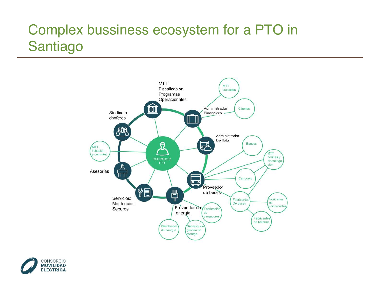### Complex bussiness ecosystem for a PTO in Santiago



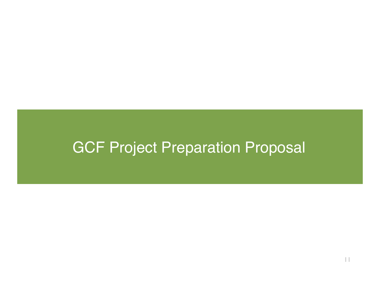## GCF Project Preparation Proposal

11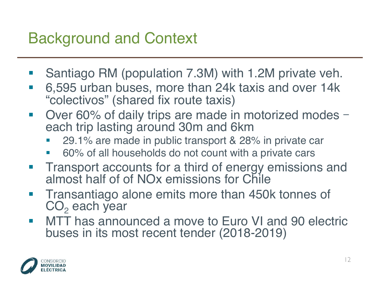# Background and Context

- § Santiago RM (population 7.3M) with 1.2M private veh.
- 6,595 urban buses, more than 24k taxis and over 14k "colectivos" (shared fix route taxis)
- Over 60% of daily trips are made in motorized modes each trip lasting around 30m and 6km
	- § 29.1% are made in public transport & 28% in private car
	- § 60% of all households do not count with a private cars
- **Transport accounts for a third of energy emissions and** almost half of of NOx emissions for Chile
- Transantiago alone emits more than 450k tonnes of  $CO<sub>2</sub>$  each year
- MTT has announced a move to Euro VI and 90 electric buses in its most recent tender (2018-2019)

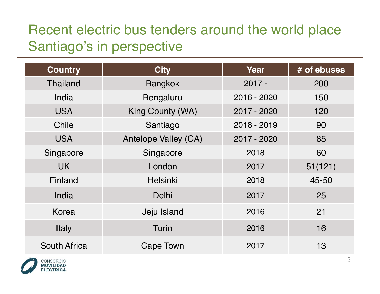### Recent electric bus tenders around the world place Santiago's in perspective

| <b>Country</b>      | <b>City</b>          | Year        | # of ebuses |
|---------------------|----------------------|-------------|-------------|
| <b>Thailand</b>     | <b>Bangkok</b>       | $2017 -$    | 200         |
| India               | Bengaluru            | 2016 - 2020 | 150         |
| <b>USA</b>          | King County (WA)     | 2017 - 2020 | 120         |
| Chile               | Santiago             | 2018 - 2019 | 90          |
| <b>USA</b>          | Antelope Valley (CA) | 2017 - 2020 | 85          |
| Singapore           | Singapore            | 2018        | 60          |
| <b>UK</b>           | London               | 2017        | 51(121)     |
| Finland             | <b>Helsinki</b>      | 2018        | 45-50       |
| India               | Delhi                | 2017        | 25          |
| Korea               | Jeju Island          | 2016        | 21          |
| Italy               | <b>Turin</b>         | 2016        | 16          |
| <b>South Africa</b> | Cape Town            | 2017        | 13          |

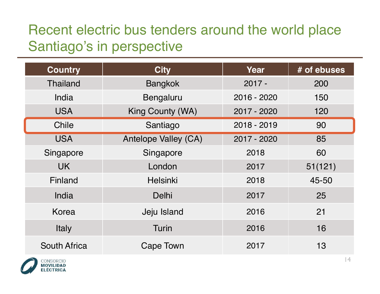### Recent electric bus tenders around the world place Santiago's in perspective

| <b>Country</b>      | <b>City</b>          | Year        | # of ebuses |
|---------------------|----------------------|-------------|-------------|
| <b>Thailand</b>     | <b>Bangkok</b>       | $2017 -$    | 200         |
| India               | Bengaluru            | 2016 - 2020 | 150         |
| <b>USA</b>          | King County (WA)     | 2017 - 2020 | 120         |
| Chile               | Santiago             | 2018 - 2019 | 90          |
| <b>USA</b>          | Antelope Valley (CA) | 2017 - 2020 | 85          |
| Singapore           | Singapore            | 2018        | 60          |
| <b>UK</b>           | London               | 2017        | 51(121)     |
| Finland             | <b>Helsinki</b>      | 2018        | 45-50       |
| India               | Delhi                | 2017        | 25          |
| Korea               | Jeju Island          | 2016        | 21          |
| Italy               | Turin                | 2016        | 16          |
| <b>South Africa</b> | Cape Town            | 2017        | 13          |

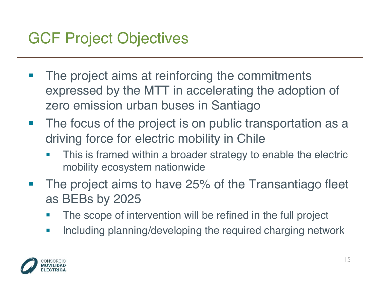## GCF Project Objectives

- The project aims at reinforcing the commitments expressed by the MTT in accelerating the adoption of zero emission urban buses in Santiago
- The focus of the project is on public transportation as a driving force for electric mobility in Chile
	- This is framed within a broader strategy to enable the electric mobility ecosystem nationwide
- The project aims to have 25% of the Transantiago fleet as BEBs by 2025
	- The scope of intervention will be refined in the full project
	- **Including planning/developing the required charging network**

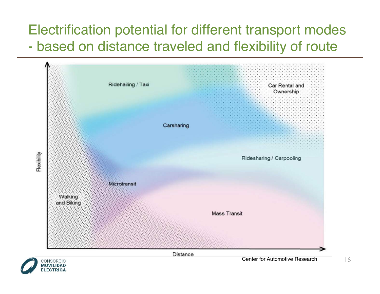#### Electrification potential for different transport modes - based on distance traveled and flexibility of route

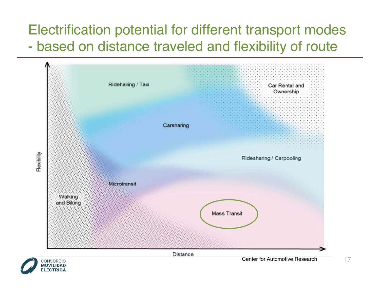#### Electrification potential for different transport modes - based on distance traveled and flexibility of route

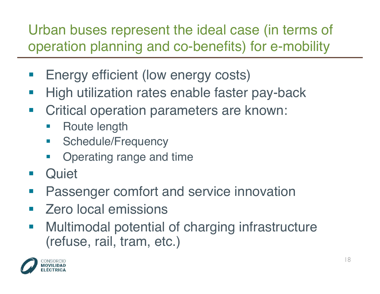Urban buses represent the ideal case (in terms of operation planning and co-benefits) for e-mobility

- Energy efficient (low energy costs)
- **High utilization rates enable faster pay-back**
- Critical operation parameters are known:
	- Route length
	- **•** Schedule/Frequency
	- Operating range and time
- Quiet
- **Passenger comfort and service innovation**
- § Zero local emissions
- Multimodal potential of charging infrastructure (refuse, rail, tram, etc.)

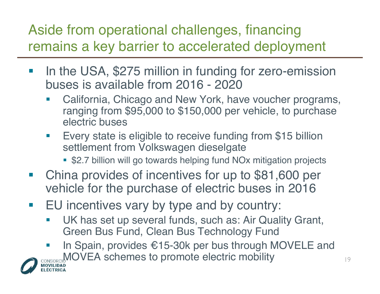### Aside from operational challenges, financing remains a key barrier to accelerated deployment

- In the USA, \$275 million in funding for zero-emission buses is available from 2016 - 2020
	- California, Chicago and New York, have voucher programs, ranging from \$95,000 to \$150,000 per vehicle, to purchase electric buses
	- **Every state is eligible to receive funding from \$15 billion** settlement from Volkswagen dieselgate
		- \$2.7 billion will go towards helping fund NO<sub>x</sub> mitigation projects
- China provides of incentives for up to \$81,600 per vehicle for the purchase of electric buses in 2016
- EU incentives vary by type and by country:
	- UK has set up several funds, such as: Air Quality Grant, Green Bus Fund, Clean Bus Technology Fund
	- In Spain, provides  $\epsilon$ 15-30k per bus through MOVELE and CONSORCICONOVEA schemes to promote electric mobility

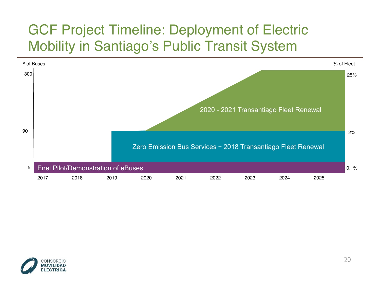

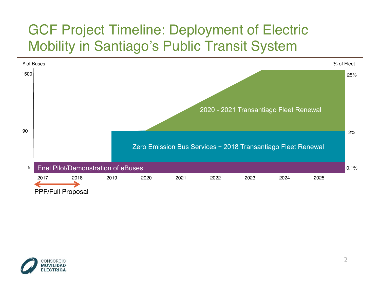

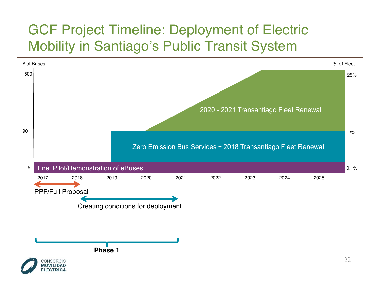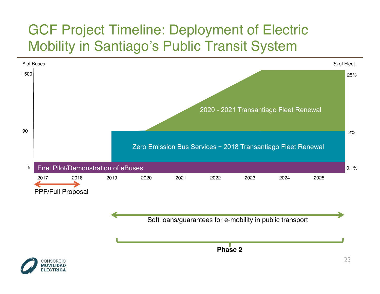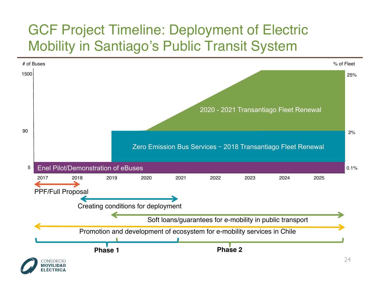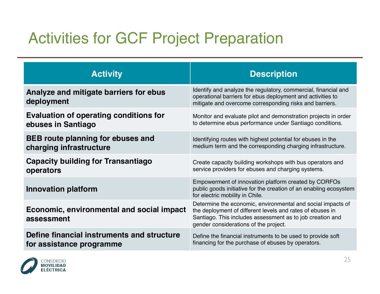# Activities for GCF Project Preparation

| <b>Activity</b>                                         | <b>Description</b>                                                                                                                                                                                                             |
|---------------------------------------------------------|--------------------------------------------------------------------------------------------------------------------------------------------------------------------------------------------------------------------------------|
| Analyze and mitigate barriers for ebus<br>deployment    | Identify and analyze the regulatory, commercial, financial and<br>operational barriers for ebus deployment and activities to<br>mitigate and overcome corresponding risks and barriers.                                        |
| Evaluation of operating conditions for                  | Monitor and evaluate pilot and demonstration projects in order                                                                                                                                                                 |
| ebuses in Santiago                                      | to determine ebus performance under Santiago conditions.                                                                                                                                                                       |
| <b>BEB</b> route planning for ebuses and                | Identifying routes with highest potential for ebuses in the                                                                                                                                                                    |
| charging infrastructure                                 | medium term and the corresponding charging infrastructure.                                                                                                                                                                     |
| <b>Capacity building for Transantiago</b>               | Create capacity building workshops with bus operators and                                                                                                                                                                      |
| operators                                               | service providers for ebuses and charging systems.                                                                                                                                                                             |
| <b>Innovation platform</b>                              | Empowerment of innovation platform created by CORFOs<br>public goods initiative for the creation of an enabling ecosystem<br>for electric mobility in Chile.                                                                   |
| Economic, environmental and social impact<br>assessment | Determine the economic, environmental and social impacts of<br>the deployment of different levels and rates of ebuses in<br>Santiago. This includes assessment as to job creation and<br>gender considerations of the project. |
| Define financial instruments and structure              | Define the financial instruments to be used to provide soft                                                                                                                                                                    |
| for assistance programme                                | financing for the purchase of ebuses by operators.                                                                                                                                                                             |

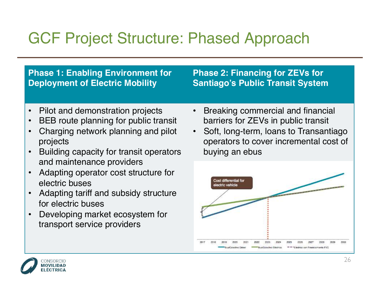# GCF Project Structure: Phased Approach

#### **Phase 1: Enabling Environment for Deployment of Electric Mobility**

#### **Phase 2: Financing for ZEVs for Santiago's Public Transit System**

- Pilot and demonstration projects
- BEB route planning for public transit
- Charging network planning and pilot projects
- Building capacity for transit operators and maintenance providers
- Adapting operator cost structure for electric buses
- Adapting tariff and subsidy structure for electric buses
- Developing market ecosystem for transport service providers
- Breaking commercial and financial barriers for ZEVs in public transit
- Soft, long-term, loans to Transantiago operators to cover incremental cost of buying an ebus



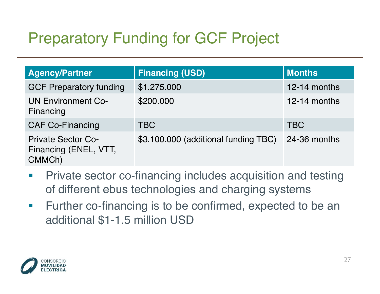# Preparatory Funding for GCF Project

| <b>Agency/Partner</b>                                        | <b>Financing (USD)</b>               | <b>Months</b> |
|--------------------------------------------------------------|--------------------------------------|---------------|
| <b>GCF Preparatory funding</b>                               | \$1.275.000                          | 12-14 months  |
| <b>UN Environment Co-</b><br>Financing                       | \$200.000                            | 12-14 months  |
| <b>CAF Co-Financing</b>                                      | <b>TBC</b>                           | <b>TBC</b>    |
| <b>Private Sector Co-</b><br>Financing (ENEL, VTT,<br>CMMCh) | \$3.100.000 (additional funding TBC) | 24-36 months  |

- Private sector co-financing includes acquisition and testing of different ebus technologies and charging systems
- Further co-financing is to be confirmed, expected to be an additional \$1-1.5 million USD

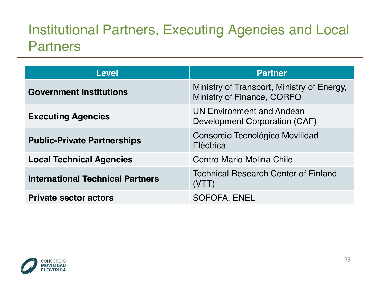#### Institutional Partners, Executing Agencies and Local **Partners**

| <b>Level</b>                            | <b>Partner</b>                                                           |
|-----------------------------------------|--------------------------------------------------------------------------|
| <b>Government Institutions</b>          | Ministry of Transport, Ministry of Energy,<br>Ministry of Finance, CORFO |
| <b>Executing Agencies</b>               | <b>UN Environment and Andean</b><br>Development Corporation (CAF)        |
| <b>Public-Private Partnerships</b>      | Consorcio Tecnológico Movilidad<br>Eléctrica                             |
| <b>Local Technical Agencies</b>         | Centro Mario Molina Chile                                                |
| <b>International Technical Partners</b> | <b>Technical Research Center of Finland</b><br>$(V \mid \; \mid)$        |
| <b>Private sector actors</b>            | SOFOFA, ENEL                                                             |

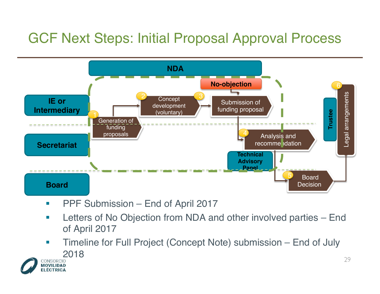### GCF Next Steps: Initial Proposal Approval Process



- PPF Submission End of April 2017
- Letters of No Objection from NDA and other involved parties End of April 2017
- **Timeline for Full Project (Concept Note) submission End of July** CONSORCIO<br>MOVILIDAD